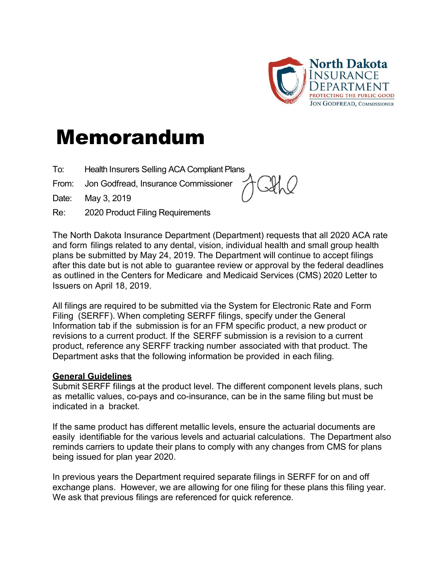

## Memorandum

- To: Health Insurers Selling ACA Compliant Plans
- From: Jon Godfread, Insurance Commissioner

Date: May 3, 2019

Re: 2020 Product Filing Requirements



The North Dakota Insurance Department (Department) requests that all 2020 ACA rate and form filings related to any dental, vision, individual health and small group health plans be submitted by May 24, 2019. The Department will continue to accept filings after this date but is not able to guarantee review or approval by the federal deadlines as outlined in the Centers for Medicare and Medicaid Services (CMS) 2020 Letter to Issuers on April 18, 2019.

All filings are required to be submitted via the System for Electronic Rate and Form Filing (SERFF). When completing SERFF filings, specify under the General Information tab if the submission is for an FFM specific product, a new product or revisions to a current product. If the SERFF submission is a revision to a current product, reference any SERFF tracking number associated with that product. The Department asks that the following information be provided in each filing.

## General Guidelines

Submit SERFF filings at the product level. The different component levels plans, such as metallic values, co-pays and co-insurance, can be in the same filing but must be indicated in a bracket.

If the same product has different metallic levels, ensure the actuarial documents are easily identifiable for the various levels and actuarial calculations. The Department also reminds carriers to update their plans to comply with any changes from CMS for plans being issued for plan year 2020.

In previous years the Department required separate filings in SERFF for on and off exchange plans. However, we are allowing for one filing for these plans this filing year. We ask that previous filings are referenced for quick reference.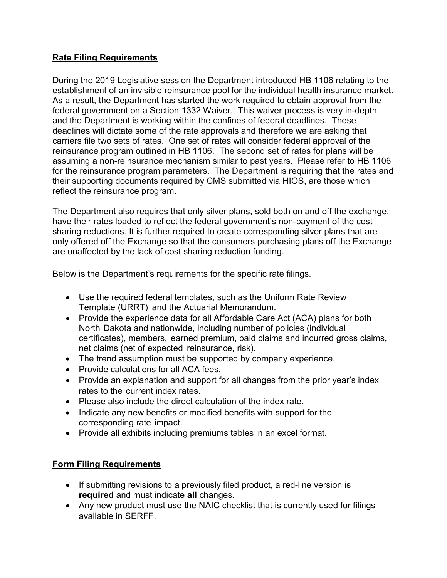## Rate Filing Requirements

During the 2019 Legislative session the Department introduced HB 1106 relating to the establishment of an invisible reinsurance pool for the individual health insurance market. As a result, the Department has started the work required to obtain approval from the federal government on a Section 1332 Waiver. This waiver process is very in-depth and the Department is working within the confines of federal deadlines. These deadlines will dictate some of the rate approvals and therefore we are asking that carriers file two sets of rates. One set of rates will consider federal approval of the reinsurance program outlined in HB 1106. The second set of rates for plans will be assuming a non-reinsurance mechanism similar to past years. Please refer to HB 1106 for the reinsurance program parameters. The Department is requiring that the rates and their supporting documents required by CMS submitted via HIOS, are those which reflect the reinsurance program.

The Department also requires that only silver plans, sold both on and off the exchange, have their rates loaded to reflect the federal government's non-payment of the cost sharing reductions. It is further required to create corresponding silver plans that are only offered off the Exchange so that the consumers purchasing plans off the Exchange are unaffected by the lack of cost sharing reduction funding.

Below is the Department's requirements for the specific rate filings.

- Use the required federal templates, such as the Uniform Rate Review Template (URRT) and the Actuarial Memorandum.
- Provide the experience data for all Affordable Care Act (ACA) plans for both North Dakota and nationwide, including number of policies (individual certificates), members, earned premium, paid claims and incurred gross claims, net claims (net of expected reinsurance, risk).
- The trend assumption must be supported by company experience.
- Provide calculations for all ACA fees.
- Provide an explanation and support for all changes from the prior year's index rates to the current index rates.
- Please also include the direct calculation of the index rate.
- Indicate any new benefits or modified benefits with support for the corresponding rate impact.
- Provide all exhibits including premiums tables in an excel format.

## Form Filing Requirements

- If submitting revisions to a previously filed product, a red-line version is required and must indicate all changes.
- Any new product must use the NAIC checklist that is currently used for filings available in SERFF.